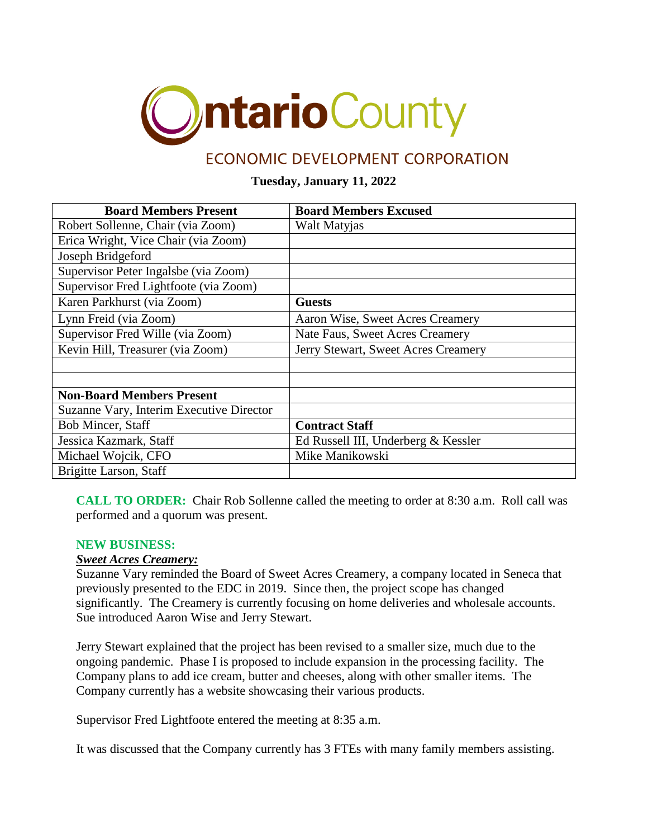

# ECONOMIC DEVELOPMENT CORPORATION

# **Tuesday, January 11, 2022**

| <b>Board Members Present</b>             | <b>Board Members Excused</b>        |
|------------------------------------------|-------------------------------------|
| Robert Sollenne, Chair (via Zoom)        | Walt Matyjas                        |
| Erica Wright, Vice Chair (via Zoom)      |                                     |
| Joseph Bridgeford                        |                                     |
| Supervisor Peter Ingalsbe (via Zoom)     |                                     |
| Supervisor Fred Lightfoote (via Zoom)    |                                     |
| Karen Parkhurst (via Zoom)               | <b>Guests</b>                       |
| Lynn Freid (via Zoom)                    | Aaron Wise, Sweet Acres Creamery    |
| Supervisor Fred Wille (via Zoom)         | Nate Faus, Sweet Acres Creamery     |
| Kevin Hill, Treasurer (via Zoom)         | Jerry Stewart, Sweet Acres Creamery |
|                                          |                                     |
|                                          |                                     |
| <b>Non-Board Members Present</b>         |                                     |
| Suzanne Vary, Interim Executive Director |                                     |
| Bob Mincer, Staff                        | <b>Contract Staff</b>               |
| Jessica Kazmark, Staff                   | Ed Russell III, Underberg & Kessler |
| Michael Wojcik, CFO                      | Mike Manikowski                     |
| Brigitte Larson, Staff                   |                                     |

**CALL TO ORDER:** Chair Rob Sollenne called the meeting to order at 8:30 a.m. Roll call was performed and a quorum was present.

#### **NEW BUSINESS:**

#### *Sweet Acres Creamery:*

Suzanne Vary reminded the Board of Sweet Acres Creamery, a company located in Seneca that previously presented to the EDC in 2019. Since then, the project scope has changed significantly. The Creamery is currently focusing on home deliveries and wholesale accounts. Sue introduced Aaron Wise and Jerry Stewart.

Jerry Stewart explained that the project has been revised to a smaller size, much due to the ongoing pandemic. Phase I is proposed to include expansion in the processing facility. The Company plans to add ice cream, butter and cheeses, along with other smaller items. The Company currently has a website showcasing their various products.

Supervisor Fred Lightfoote entered the meeting at 8:35 a.m.

It was discussed that the Company currently has 3 FTEs with many family members assisting.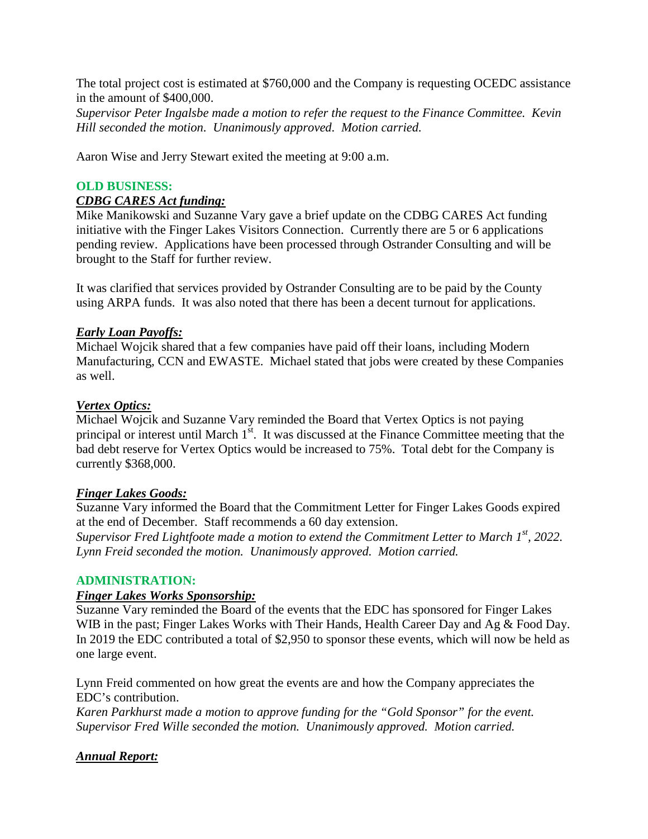The total project cost is estimated at \$760,000 and the Company is requesting OCEDC assistance in the amount of \$400,000.

*Supervisor Peter Ingalsbe made a motion to refer the request to the Finance Committee. Kevin Hill seconded the motion. Unanimously approved. Motion carried.*

Aaron Wise and Jerry Stewart exited the meeting at 9:00 a.m.

#### **OLD BUSINESS:**

#### *CDBG CARES Act funding:*

Mike Manikowski and Suzanne Vary gave a brief update on the CDBG CARES Act funding initiative with the Finger Lakes Visitors Connection. Currently there are 5 or 6 applications pending review. Applications have been processed through Ostrander Consulting and will be brought to the Staff for further review.

It was clarified that services provided by Ostrander Consulting are to be paid by the County using ARPA funds. It was also noted that there has been a decent turnout for applications.

#### *Early Loan Payoffs:*

Michael Wojcik shared that a few companies have paid off their loans, including Modern Manufacturing, CCN and EWASTE. Michael stated that jobs were created by these Companies as well.

#### *Vertex Optics:*

Michael Wojcik and Suzanne Vary reminded the Board that Vertex Optics is not paying principal or interest until March  $1<sup>st</sup>$ . It was discussed at the Finance Committee meeting that the bad debt reserve for Vertex Optics would be increased to 75%. Total debt for the Company is currently \$368,000.

#### *Finger Lakes Goods:*

Suzanne Vary informed the Board that the Commitment Letter for Finger Lakes Goods expired at the end of December. Staff recommends a 60 day extension. *Supervisor Fred Lightfoote made a motion to extend the Commitment Letter to March 1st, 2022. Lynn Freid seconded the motion. Unanimously approved. Motion carried.*

#### **ADMINISTRATION:**

#### *Finger Lakes Works Sponsorship:*

Suzanne Vary reminded the Board of the events that the EDC has sponsored for Finger Lakes WIB in the past; Finger Lakes Works with Their Hands, Health Career Day and Ag & Food Day. In 2019 the EDC contributed a total of \$2,950 to sponsor these events, which will now be held as one large event.

Lynn Freid commented on how great the events are and how the Company appreciates the EDC's contribution.

*Karen Parkhurst made a motion to approve funding for the "Gold Sponsor" for the event. Supervisor Fred Wille seconded the motion. Unanimously approved. Motion carried.*

# *Annual Report:*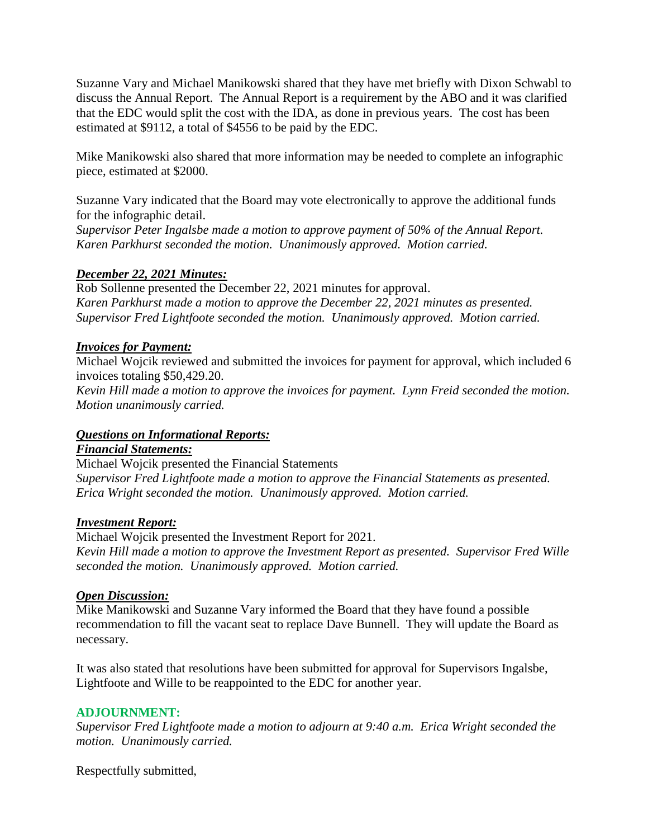Suzanne Vary and Michael Manikowski shared that they have met briefly with Dixon Schwabl to discuss the Annual Report. The Annual Report is a requirement by the ABO and it was clarified that the EDC would split the cost with the IDA, as done in previous years. The cost has been estimated at \$9112, a total of \$4556 to be paid by the EDC.

Mike Manikowski also shared that more information may be needed to complete an infographic piece, estimated at \$2000.

Suzanne Vary indicated that the Board may vote electronically to approve the additional funds for the infographic detail.

*Supervisor Peter Ingalsbe made a motion to approve payment of 50% of the Annual Report. Karen Parkhurst seconded the motion. Unanimously approved. Motion carried.*

# *December 22, 2021 Minutes:*

Rob Sollenne presented the December 22, 2021 minutes for approval. *Karen Parkhurst made a motion to approve the December 22, 2021 minutes as presented. Supervisor Fred Lightfoote seconded the motion. Unanimously approved. Motion carried.*

# *Invoices for Payment:*

Michael Wojcik reviewed and submitted the invoices for payment for approval, which included 6 invoices totaling \$50,429.20.

*Kevin Hill made a motion to approve the invoices for payment. Lynn Freid seconded the motion. Motion unanimously carried.*

# *Questions on Informational Reports:*

*Financial Statements:*

Michael Wojcik presented the Financial Statements *Supervisor Fred Lightfoote made a motion to approve the Financial Statements as presented. Erica Wright seconded the motion. Unanimously approved. Motion carried.*

# *Investment Report:*

Michael Wojcik presented the Investment Report for 2021. *Kevin Hill made a motion to approve the Investment Report as presented. Supervisor Fred Wille seconded the motion. Unanimously approved. Motion carried.*

# *Open Discussion:*

Mike Manikowski and Suzanne Vary informed the Board that they have found a possible recommendation to fill the vacant seat to replace Dave Bunnell. They will update the Board as necessary.

It was also stated that resolutions have been submitted for approval for Supervisors Ingalsbe, Lightfoote and Wille to be reappointed to the EDC for another year.

# **ADJOURNMENT:**

*Supervisor Fred Lightfoote made a motion to adjourn at 9:40 a.m. Erica Wright seconded the motion. Unanimously carried.*

Respectfully submitted,